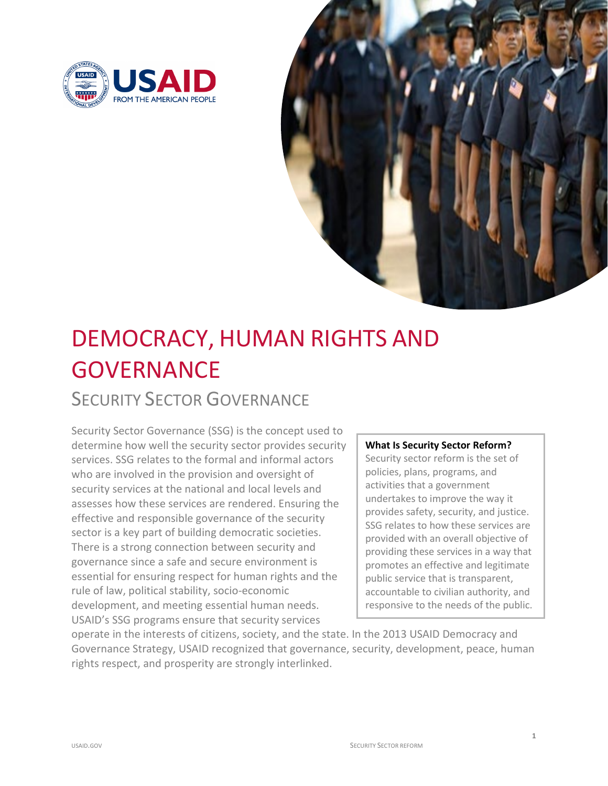



# DEMOCRACY, HUMAN RIGHTS AND **GOVERNANCE** SECURITY SECTOR GOVERNANCE

 determine how well the security sector provides security services. SSG relates to the formal and informal actors security services at the national and local levels and sector is a key part of building democratic societies. rule of law, political stability, socio-economic Security Sector Governance (SSG) is the concept used to who are involved in the provision and oversight of assesses how these services are rendered. Ensuring the effective and responsible governance of the security There is a strong connection between security and governance since a safe and secure environment is essential for ensuring respect for human rights and the development, and meeting essential human needs. USAID's SSG programs ensure that security services

## **What Is Security Sector Reform?**

 providing these services in a way that Security sector reform is the set of policies, plans, programs, and activities that a government undertakes to improve the way it provides safety, security, and justice. SSG relates to how these services are provided with an overall objective of promotes an effective and legitimate public service that is transparent, accountable to civilian authority, and responsive to the needs of the public.

operate in the interests of citizens, society, and the state. In the 2013 USAID Democracy and Governance Strategy, USAID recognized that governance, security, development, peace, human rights respect, and prosperity are strongly interlinked.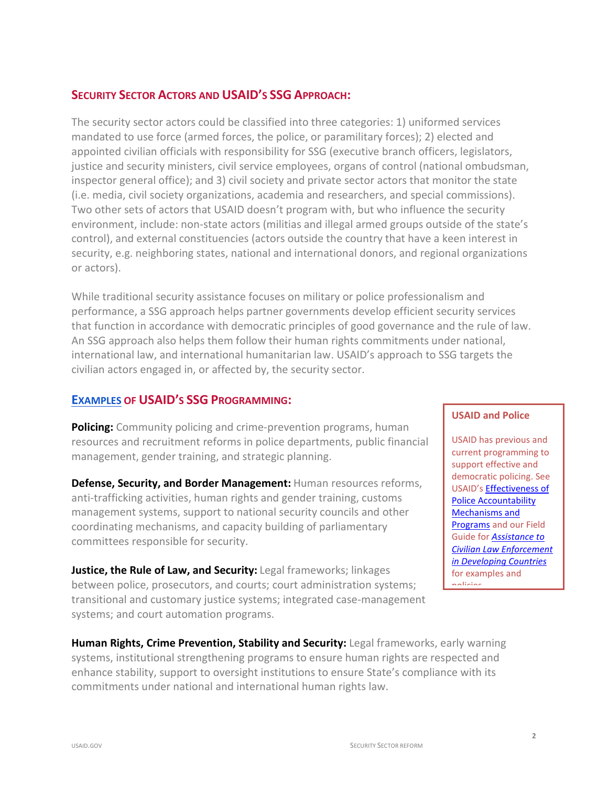## **SECURITY SECTOR ACTORS AND USAID'S SSG APPROACH:**

 mandated to use force (armed forces, the police, or paramilitary forces); 2) elected and inspector general office); and 3) civil society and private sector actors that monitor the state Two other sets of actors that USAID doesn't program with, but who influence the security environment, include: non-state actors (militias and illegal armed groups outside of the state's control), and external constituencies (actors outside the country that have a keen interest in The security sector actors could be classified into three categories: 1) uniformed services appointed civilian officials with responsibility for SSG (executive branch officers, legislators, justice and security ministers, civil service employees, organs of control (national ombudsman, (i.e. media, civil society organizations, academia and researchers, and special commissions). security, e.g. neighboring states, national and international donors, and regional organizations or actors).

 While traditional security assistance focuses on military or police professionalism and An SSG approach also helps them follow their human rights commitments under national, international law, and international humanitarian law. USAID's approach to SSG targets the performance, a SSG approach helps partner governments develop efficient security services that function in accordance with democratic principles of good governance and the rule of law. civilian actors engaged in, or affected by, the security sector.

## **[EXAMPLES](https://www.usaid.gov/sites/default/files/documents/1866/SSG_Inventory_of_USAID-SSR-Projects_1.19ab.pdf) OF USAID'S SSG PROGRAMMING:**

management, gender training, and strategic planning. The management of the support effective and support effective and **Policing:** Community policing and crime-prevention programs, human resources and recruitment reforms in police departments, public financial USAID has previous and<br>management, gonder training, and strategic planning

**Defense, Security, and Border Management:** Human resources reforms, democratic policing. See anti-trafficking activities, human rights and gender training, customs Police Accountability management systems, support to national security councils and other Mechanisms and coordinating mechanisms, and capacity building of parliamentary [Programs](https://www.usaid.gov/democracy/technical-publications/effectiveness-police-accountability-mechanisms) and our Field<br>
Programs and our Field<br>
Programs and our Field Guide for *[Assistance to](https://pdf.usaid.gov/pdf_docs/PNADU808.pdf)* committees responsible for security. *[Civilian Law Enforcement](https://pdf.usaid.gov/pdf_docs/PNADU808.pdf)* 

**Justice, the Rule of Law, and Security:** Legal frameworks; linkages *in Developing Countries* between police, prosecutors, and courts; court administration systems; transitional and customary justice systems; integrated case-management systems; and court automation programs.

#### **USAID and Police**

l

 systems, institutional strengthening programs to ensure human rights are respected and Human Rights, Crime Prevention, Stability and Security: Legal frameworks, early warning enhance stability, support to oversight institutions to ensure State's compliance with its commitments under national and international human rights law.